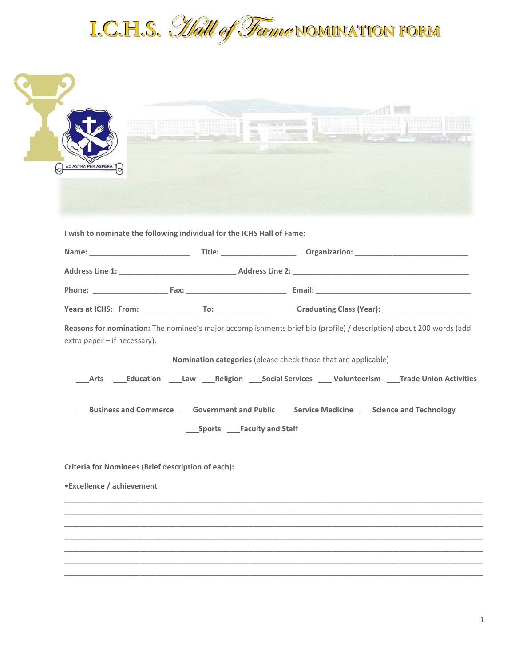

| AD ASTRA PER ASPERA                                       |                                                                        |                                                                                                                                                                                       |
|-----------------------------------------------------------|------------------------------------------------------------------------|---------------------------------------------------------------------------------------------------------------------------------------------------------------------------------------|
|                                                           | I wish to nominate the following individual for the ICHS Hall of Fame: |                                                                                                                                                                                       |
|                                                           |                                                                        |                                                                                                                                                                                       |
|                                                           |                                                                        |                                                                                                                                                                                       |
|                                                           |                                                                        |                                                                                                                                                                                       |
|                                                           |                                                                        |                                                                                                                                                                                       |
| extra paper $-$ if necessary).                            |                                                                        | Reasons for nomination: The nominee's major accomplishments brief bio (profile) / description) about 200 words (add<br>Nomination categories (please check those that are applicable) |
| Arts                                                      |                                                                        | _Education _____Law _____Religion _____Social Services _____Volunteerism _____Trade Union Activities                                                                                  |
|                                                           |                                                                        | <b>Example 3 Business and Commerce CONFIDENT GOVER THEORY CONFIDENCE CONFIDENCE CONFIDENCE CONFIDENT BUSINESS BUSINESS BUSINESS BUSINESS BUSINESS</b>                                 |
|                                                           | _____Sports _____Faculty and Staff                                     |                                                                                                                                                                                       |
| <b>Criteria for Nominees (Brief description of each):</b> |                                                                        |                                                                                                                                                                                       |
| •Excellence / achievement                                 |                                                                        |                                                                                                                                                                                       |
|                                                           |                                                                        |                                                                                                                                                                                       |
|                                                           |                                                                        |                                                                                                                                                                                       |
|                                                           |                                                                        |                                                                                                                                                                                       |
|                                                           |                                                                        |                                                                                                                                                                                       |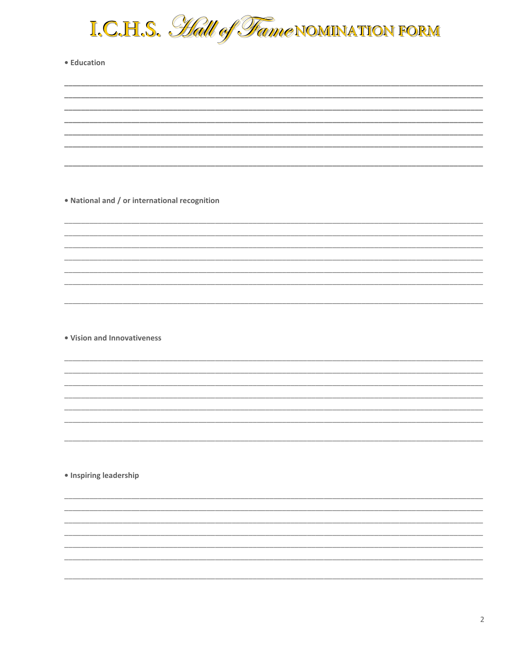

• Education

. National and / or international recognition

• Vision and Innovativeness

· Inspiring leadership